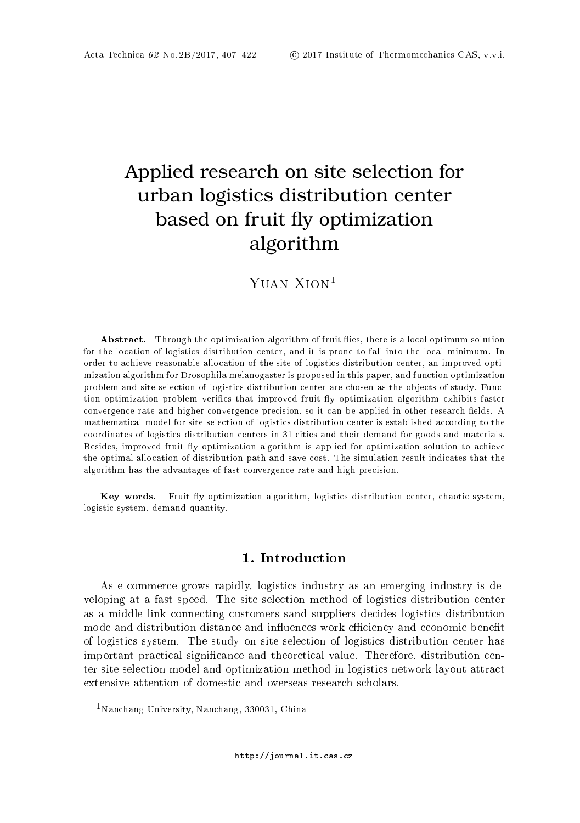# Applied research on site selection for urban logistics distribution center based on fruit fly optimization algorithm

## YUAN XION<sup>1</sup>

Abstract. Through the optimization algorithm of fruit flies, there is a local optimum solution for the location of logistics distribution center, and it is prone to fall into the local minimum. In order to achieve reasonable allocation of the site of logistics distribution center, an improved optimization algorithm for Drosophila melanogaster is proposed in this paper, and function optimization problem and site selection of logistics distribution center are chosen as the objects of study. Function optimization problem verifies that improved fruit fly optimization algorithm exhibits faster convergence rate and higher convergence precision, so it can be applied in other research fields. A mathematical model for site selection of logistics distribution center is established according to the coordinates of logistics distribution centers in 31 cities and their demand for goods and materials. Besides, improved fruit fly optimization algorithm is applied for optimization solution to achieve the optimal allocation of distribution path and save cost. The simulation result indicates that the algorithm has the advantages of fast convergence rate and high precision.

Key words. Fruit fly optimization algorithm, logistics distribution center, chaotic system, logistic system, demand quantity.

## 1. Introduction

As e-commerce grows rapidly, logistics industry as an emerging industry is developing at a fast speed. The site selection method of logistics distribution center as a middle link connecting customers sand suppliers decides logistics distribution mode and distribution distance and influences work efficiency and economic benefit of logistics system. The study on site selection of logistics distribution center has important practical significance and theoretical value. Therefore, distribution center site selection model and optimization method in logistics network layout attract extensive attention of domestic and overseas research scholars.

<sup>1</sup>Nanchang University, Nanchang, 330031, China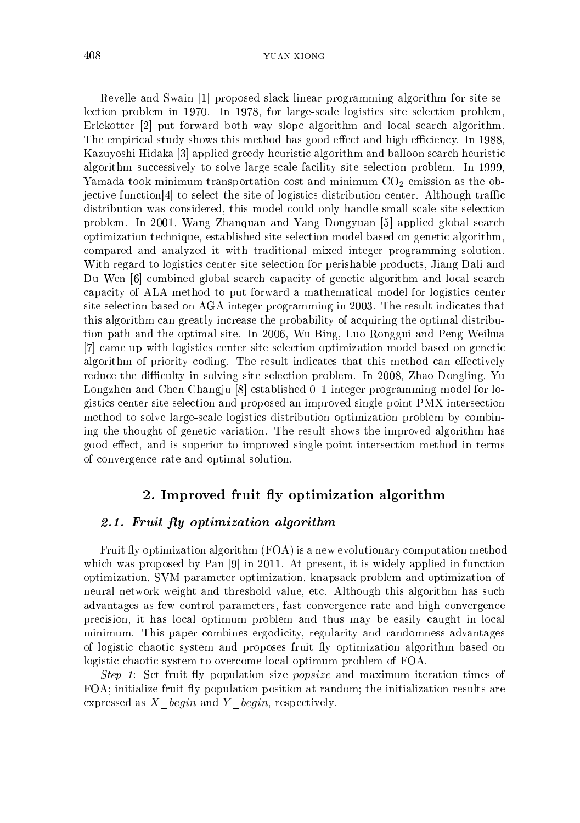Revelle and Swain [1] proposed slack linear programming algorithm for site selection problem in 1970. In 1978, for large-scale logistics site selection problem, Erlekotter [2] put forward both way slope algorithm and local search algorithm. The empirical study shows this method has good effect and high efficiency. In 1988, Kazuyoshi Hidaka [3] applied greedy heuristic algorithm and balloon search heuristic algorithm successively to solve large-scale facility site selection problem. In 1999, Yamada took minimum transportation cost and minimum  $CO<sub>2</sub>$  emission as the ob- $\chi$  jective function [4] to select the site of logistics distribution center. Although traffic distribution was considered, this model could only handle small-scale site selection problem. In 2001, Wang Zhanquan and Yang Dongyuan [5] applied global search optimization technique, established site selection model based on genetic algorithm, compared and analyzed it with traditional mixed integer programming solution. With regard to logistics center site selection for perishable products, Jiang Dali and Du Wen [6] combined global search capacity of genetic algorithm and local search capacity of ALA method to put forward a mathematical model for logistics center site selection based on AGA integer programming in 2003. The result indicates that this algorithm can greatly increase the probability of acquiring the optimal distribution path and the optimal site. In 2006, Wu Bing, Luo Ronggui and Peng Weihua [7] came up with logistics center site selection optimization model based on genetic algorithm of priority coding. The result indicates that this method can effectively reduce the difficulty in solving site selection problem. In 2008, Zhao Dongling, Yu Longzhen and Chen Changju [8] established 0-1 integer programming model for logistics center site selection and proposed an improved single-point PMX intersection method to solve large-scale logistics distribution optimization problem by combining the thought of genetic variation. The result shows the improved algorithm has good effect, and is superior to improved single-point intersection method in terms of convergence rate and optimal solution.

### 2. Improved fruit fly optimization algorithm

## 2.1. Fruit fly optimization algorithm

Fruit fly optimization algorithm (FOA) is a new evolutionary computation method which was proposed by Pan [9] in 2011. At present, it is widely applied in function optimization, SVM parameter optimization, knapsack problem and optimization of neural network weight and threshold value, etc. Although this algorithm has such advantages as few control parameters, fast convergence rate and high convergence precision, it has local optimum problem and thus may be easily caught in local minimum. This paper combines ergodicity, regularity and randomness advantages of logistic chaotic system and proposes fruit fly optimization algorithm based on logistic chaotic system to overcome local optimum problem of FOA.

Step 1: Set fruit fly population size *popsize* and maximum iteration times of FOA; initialize fruit fly population position at random; the initialization results are expressed as  $X$  begin and  $Y$  begin, respectively.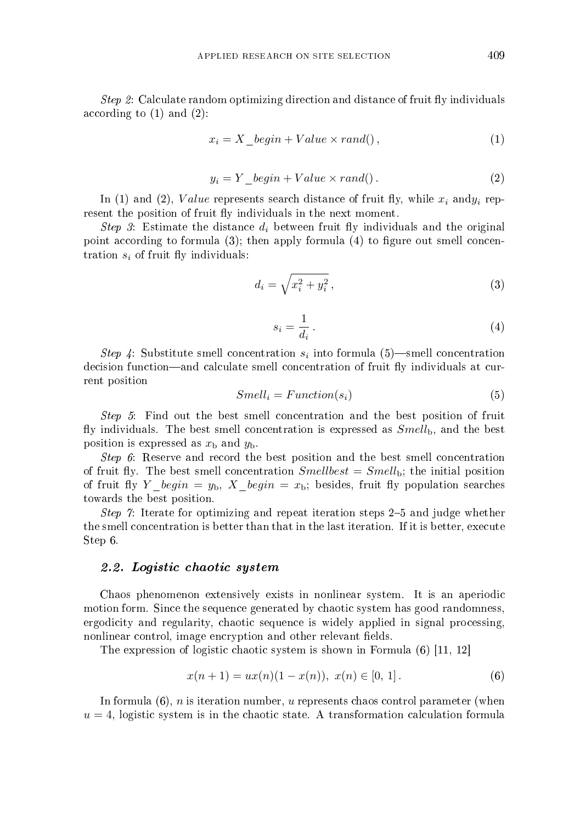*Step 2*: Calculate random optimizing direction and distance of fruit fly individuals according to (1) and (2):

$$
x_i = X\_begin + Value \times rand(), \tag{1}
$$

$$
y_i = Y \_\text{begin} + Value \times rand(). \tag{2}
$$

In (1) and (2), Value represents search distance of fruit fly, while  $x_i$  and  $y_i$  represent the position of fruit fly individuals in the next moment.

Step 3: Estimate the distance  $d_i$  between fruit fly individuals and the original point according to formula  $(3)$ ; then apply formula  $(4)$  to figure out smell concentration  $s_i$  of fruit fly individuals:

$$
d_i = \sqrt{x_i^2 + y_i^2},\tag{3}
$$

$$
s_i = \frac{1}{d_i} \,. \tag{4}
$$

Step 4: Substitute smell concentration  $s_i$  into formula (5)—smell concentration decision function—and calculate smell concentration of fruit fly individuals at current position

$$
Smell_i = Function(s_i) \tag{5}
$$

Step 5: Find out the best smell concentration and the best position of fruit fly individuals. The best smell concentration is expressed as  $Smell<sub>b</sub>$ , and the best position is expressed as  $x<sub>b</sub>$  and  $y<sub>b</sub>$ .

Step 6: Reserve and record the best position and the best smell concentration of fruit fly. The best smell concentration  $Smellbest = Smell<sub>b</sub>$ ; the initial position of fruit fly Y begin =  $y_b$ , X begin =  $x_b$ ; besides, fruit fly population searches towards the best position.

*Step 7*: Iterate for optimizing and repeat iteration steps  $2-5$  and judge whether the smell concentration is better than that in the last iteration. If it is better, execute Step 6.

#### 2.2. Logistic chaotic system

Chaos phenomenon extensively exists in nonlinear system. It is an aperiodic motion form. Since the sequence generated by chaotic system has good randomness, ergodicity and regularity, chaotic sequence is widely applied in signal processing, nonlinear control, image encryption and other relevant fields.

The expression of logistic chaotic system is shown in Formula (6) [11, 12]

$$
x(n + 1) = ux(n)(1 - x(n)), \ x(n) \in [0, 1]. \tag{6}
$$

In formula  $(6)$ , *n* is iteration number, *u* represents chaos control parameter (when  $u = 4$ , logistic system is in the chaotic state. A transformation calculation formula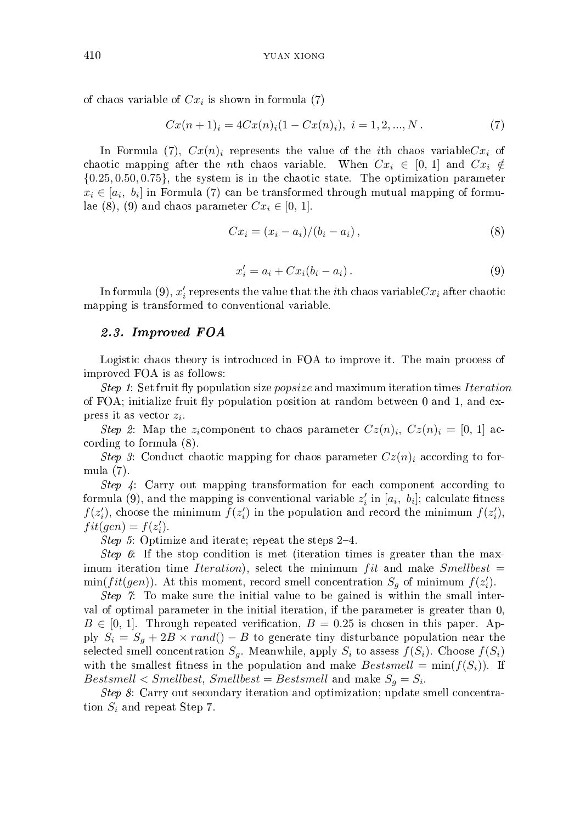of chaos variable of  $Cx_i$  is shown in formula (7)

$$
Cx(n+1)i = 4Cx(n)i(1 - Cx(n)i), i = 1, 2, ..., N.
$$
 (7)

In Formula (7),  $Cx(n)_i$  represents the value of the *i*th chaos variable  $Cx_i$  of chaotic mapping after the *n*th chaos variable. When  $Cx_i \in [0, 1]$  and  $Cx_i \notin$  ${0.25, 0.50, 0.75}$ , the system is in the chaotic state. The optimization parameter  $x_i \in [a_i, b_i]$  in Formula (7) can be transformed through mutual mapping of formulae (8), (9) and chaos parameter  $Cx_i \in [0, 1]$ .

$$
Cx_i = (x_i - a_i)/(b_i - a_i),
$$
\n(8)

$$
x_i' = a_i + Cx_i(b_i - a_i). \tag{9}
$$

In formula (9),  $x_i'$  represents the value that the *i*th chaos variable  $Cx_i$  after chaotic mapping is transformed to conventional variable.

#### 2.3. Improved FOA

Logistic chaos theory is introduced in FOA to improve it. The main process of improved FOA is as follows:

Step 1: Set fruit fly population size popsize and maximum iteration times Iteration of FOA; initialize fruit fly population position at random between  $0$  and  $1$ , and express it as vector  $z_i$ .

Step 2: Map the  $z_i$ component to chaos parameter  $Cz(n)_i$ ,  $Cz(n)_i = [0, 1]$  according to formula (8).

Step 3: Conduct chaotic mapping for chaos parameter  $Cz(n)<sub>i</sub>$  according to formula (7).

Step 4: Carry out mapping transformation for each component according to formula (9), and the mapping is conventional variable  $z_i'$  in  $[a_i, b_i]$ ; calculate fitness  $f(z'_i)$ , choose the minimum  $f(z'_i)$  in the population and record the minimum  $f(z'_i)$ ,  $fit(gen) = f(z'_i).$ 

Step 5: Optimize and iterate; repeat the steps  $2-4$ .

Step 6: If the stop condition is met (iteration times is greater than the maximum iteration time Iteration), select the minimum fit and make  $Smellbest =$  $\min(fit(gen))$ . At this moment, record smell concentration  $S_g$  of minimum  $f(z'_i)$ .

Step 7: To make sure the initial value to be gained is within the small interval of optimal parameter in the initial iteration, if the parameter is greater than 0,  $B \in [0, 1]$ . Through repeated verification,  $B = 0.25$  is chosen in this paper. Apply  $S_i = S_q + 2B \times rand() - B$  to generate tiny disturbance population near the selected smell concentration  $S_g$ . Meanwhile, apply  $S_i$  to assess  $f(S_i)$ . Choose  $f(S_i)$ with the smallest fitness in the population and make  $Bestsmall = min(f(S_i))$ . If  $Bestsmall < Smellbest, Smellbest = Bestsmall$  and make  $S_g = S_i$ .

Step 8: Carry out secondary iteration and optimization; update smell concentration  $S_i$  and repeat Step 7.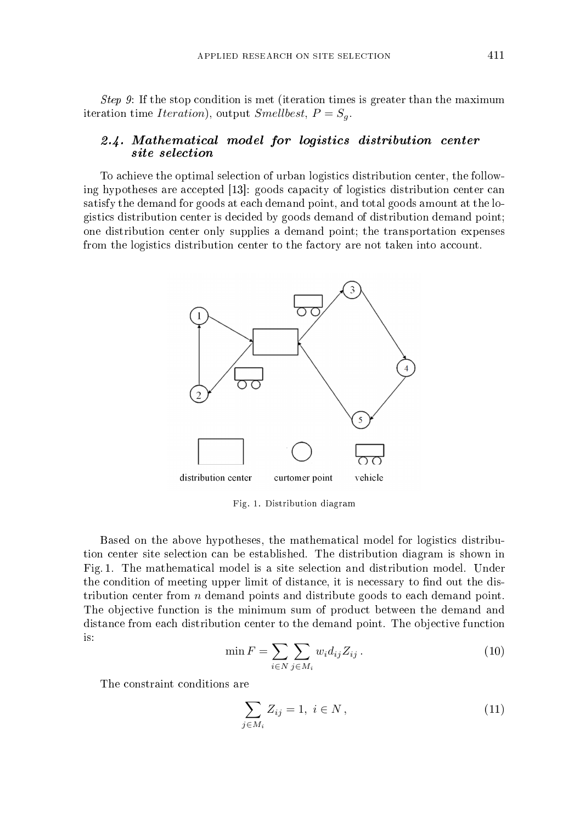Step 9: If the stop condition is met (iteration times is greater than the maximum iteration time Iteration), output Smellbest,  $P = S_g$ .

#### 2.4. Mathematical model for logistics distribution center site selection

To achieve the optimal selection of urban logistics distribution center, the following hypotheses are accepted [13]: goods capacity of logistics distribution center can satisfy the demand for goods at each demand point, and total goods amount at the logistics distribution center is decided by goods demand of distribution demand point; one distribution center only supplies a demand point; the transportation expenses from the logistics distribution center to the factory are not taken into account.



Fig. 1. Distribution diagram

Based on the above hypotheses, the mathematical model for logistics distribution center site selection can be established. The distribution diagram is shown in Fig. 1. The mathematical model is a site selection and distribution model. Under the condition of meeting upper limit of distance, it is necessary to find out the distribution center from n demand points and distribute goods to each demand point. The objective function is the minimum sum of product between the demand and distance from each distribution center to the demand point. The objective function is:

$$
\min F = \sum_{i \in N} \sum_{j \in M_i} w_i d_{ij} Z_{ij} . \tag{10}
$$

The constraint conditions are

$$
\sum_{j \in M_i} Z_{ij} = 1, \ i \in N \,, \tag{11}
$$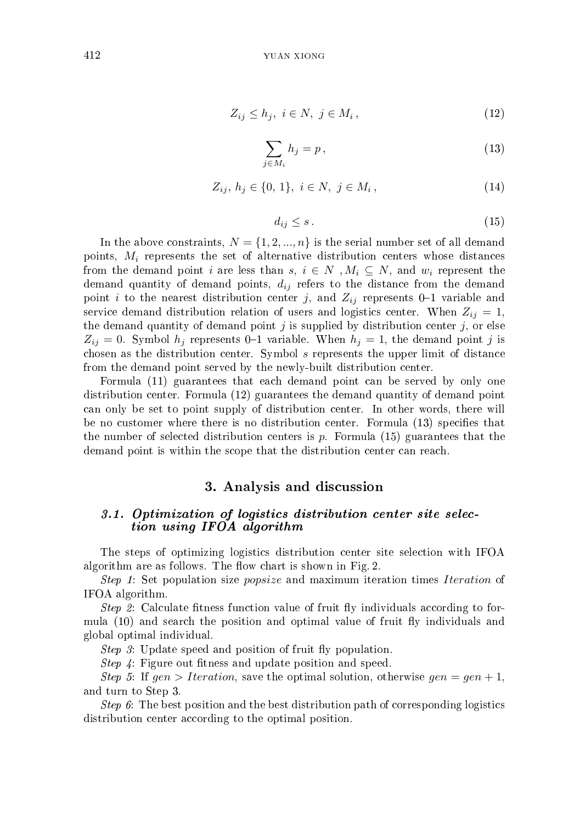$$
Z_{ij} \le h_j, \ i \in N, \ j \in M_i \,, \tag{12}
$$

$$
\sum_{j \in M_i} h_j = p,\tag{13}
$$

$$
Z_{ij}, h_j \in \{0, 1\}, i \in N, j \in M_i,
$$
\n(14)

$$
d_{ij} \le s \,. \tag{15}
$$

In the above constraints,  $N = \{1, 2, ..., n\}$  is the serial number set of all demand points,  $M_i$  represents the set of alternative distribution centers whose distances from the demand point i are less than s,  $i \in N$ ,  $M_i \subseteq N$ , and  $w_i$  represent the demand quantity of demand points,  $d_{ij}$  refers to the distance from the demand point i to the nearest distribution center j, and  $Z_{ij}$  represents 0-1 variable and service demand distribution relation of users and logistics center. When  $Z_{ij} = 1$ , the demand quantity of demand point  $j$  is supplied by distribution center  $j$ , or else  $Z_{ij} = 0$ . Symbol  $h_j$  represents 0-1 variable. When  $h_j = 1$ , the demand point j is chosen as the distribution center. Symbol s represents the upper limit of distance from the demand point served by the newly-built distribution center.

Formula (11) guarantees that each demand point can be served by only one distribution center. Formula (12) guarantees the demand quantity of demand point can only be set to point supply of distribution center. In other words, there will be no customer where there is no distribution center. Formula (13) specifies that the number of selected distribution centers is  $p$ . Formula (15) guarantees that the demand point is within the scope that the distribution center can reach.

## 3. Analysis and discussion

#### 3.1. Optimization of logistics distribution center site selection using IFOA algorithm

The steps of optimizing logistics distribution center site selection with IFOA algorithm are as follows. The flow chart is shown in Fig. 2.

Step 1: Set population size popsize and maximum iteration times Iteration of IFOA algorithm.

Step 2: Calculate fitness function value of fruit fly individuals according to formula (10) and search the position and optimal value of fruit fly individuals and global optimal individual.

Step 3: Update speed and position of fruit fly population.

*Step 4*: Figure out fitness and update position and speed.

Step 5: If gen > Iteration, save the optimal solution, otherwise  $gen = gen + 1$ , and turn to Step 3.

Step 6: The best position and the best distribution path of corresponding logistics distribution center according to the optimal position.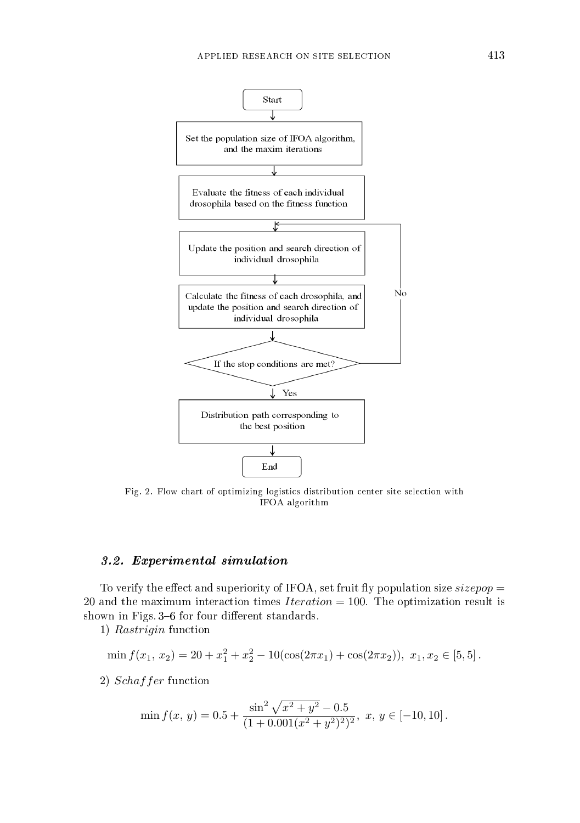

Fig. 2. Flow chart of optimizing logistics distribution center site selection with IFOA algorithm

#### 3.2. Experimental simulation

To verify the effect and superiority of IFOA, set fruit fly population size size  $pop =$ 20 and the maximum interaction times  $Iteration = 100$ . The optimization result is shown in Figs. 3–6 for four different standards.

1) Rastrigin function

$$
\min f(x_1, x_2) = 20 + x_1^2 + x_2^2 - 10(\cos(2\pi x_1) + \cos(2\pi x_2)), x_1, x_2 \in [5, 5].
$$

2) Schaffer function

$$
\min f(x, y) = 0.5 + \frac{\sin^2 \sqrt{x^2 + y^2} - 0.5}{(1 + 0.001(x^2 + y^2)^2)^2}, \ x, y \in [-10, 10].
$$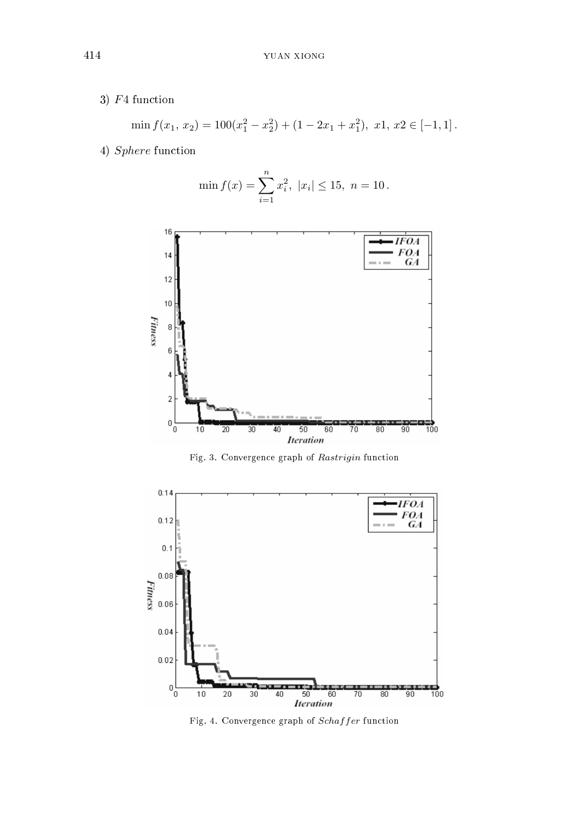3) F4 function

$$
\min f(x_1, x_2) = 100(x_1^2 - x_2^2) + (1 - 2x_1 + x_1^2), \ x1, x2 \in [-1, 1].
$$

4) Sphere function





Fig. 3. Convergence graph of Rastrigin function



Fig. 4. Convergence graph of Schaf fer function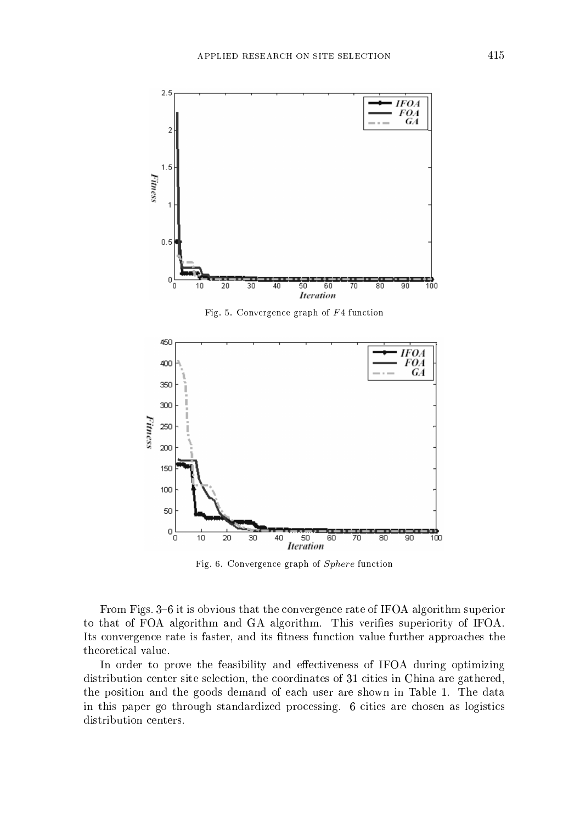

Fig. 6. Convergence graph of Sphere function

From Figs. 3–6 it is obvious that the convergence rate of IFOA algorithm superior to that of FOA algorithm and GA algorithm. This verifies superiority of IFOA. Its convergence rate is faster, and its fitness function value further approaches the theoretical value.

In order to prove the feasibility and effectiveness of IFOA during optimizing distribution center site selection, the coordinates of 31 cities in China are gathered, the position and the goods demand of each user are shown in Table 1. The data in this paper go through standardized processing. 6 cities are chosen as logistics distribution centers.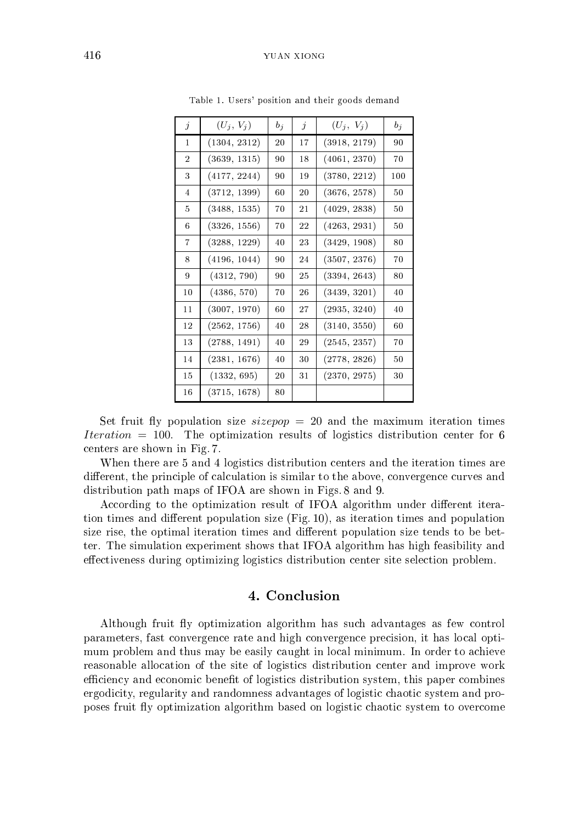| $\dot{j}$      | $(U_i, V_i)$ | $b_j$   | $\dot{j}$ | $(U_i, V_i)$ | $b_i$ |
|----------------|--------------|---------|-----------|--------------|-------|
| 1              | (1304, 2312) | $^{20}$ | 17        | (3918, 2179) | 90    |
| $\overline{2}$ | (3639, 1315) | 90      | 18        | (4061, 2370) | 70    |
| 3              | (4177, 2244) | 90      | 19        | (3780, 2212) | 100   |
| 4              | (3712, 1399) | 60      | 20        | (3676, 2578) | 50    |
| 5              | (3488, 1535) | 70      | 21        | (4029, 2838) | 50    |
| 6              | (3326, 1556) | 70      | 22        | (4263, 2931) | 50    |
| 7              | (3288, 1229) | 40      | 23        | (3429, 1908) | 80    |
| 8              | (4196, 1044) | 90      | 24        | (3507, 2376) | 70    |
| 9              | (4312, 790)  | 90      | 25        | (3394, 2643) | 80    |
| 10             | (4386, 570)  | 70      | 26        | (3439, 3201) | 40    |
| 11             | (3007, 1970) | 60      | 27        | (2935, 3240) | 40    |
| 12             | (2562, 1756) | 40      | 28        | (3140, 3550) | 60    |
| 13             | (2788, 1491) | 40      | 29        | (2545, 2357) | 70    |
| 14             | (2381, 1676) | 40      | 30        | (2778, 2826) | 50    |
| 15             | (1332, 695)  | 20      | 31        | (2370, 2975) | 30    |
| 16             | (3715, 1678) | 80      |           |              |       |

Table 1. Users' position and their goods demand

Set fruit fly population size  $sizepop = 20$  and the maximum iteration times Iteration  $= 100$ . The optimization results of logistics distribution center for 6 centers are shown in Fig. 7.

When there are 5 and 4 logistics distribution centers and the iteration times are different, the principle of calculation is similar to the above, convergence curves and distribution path maps of IFOA are shown in Figs. 8 and 9.

According to the optimization result of IFOA algorithm under different iteration times and different population size  $(Fig. 10)$ , as iteration times and population size rise, the optimal iteration times and different population size tends to be better. The simulation experiment shows that IFOA algorithm has high feasibility and effectiveness during optimizing logistics distribution center site selection problem.

## 4. Conclusion

Although fruit fly optimization algorithm has such advantages as few control parameters, fast convergence rate and high convergence precision, it has local optimum problem and thus may be easily caught in local minimum. In order to achieve reasonable allocation of the site of logistics distribution center and improve work efficiency and economic benefit of logistics distribution system, this paper combines ergodicity, regularity and randomness advantages of logistic chaotic system and proposes fruit fly optimization algorithm based on logistic chaotic system to overcome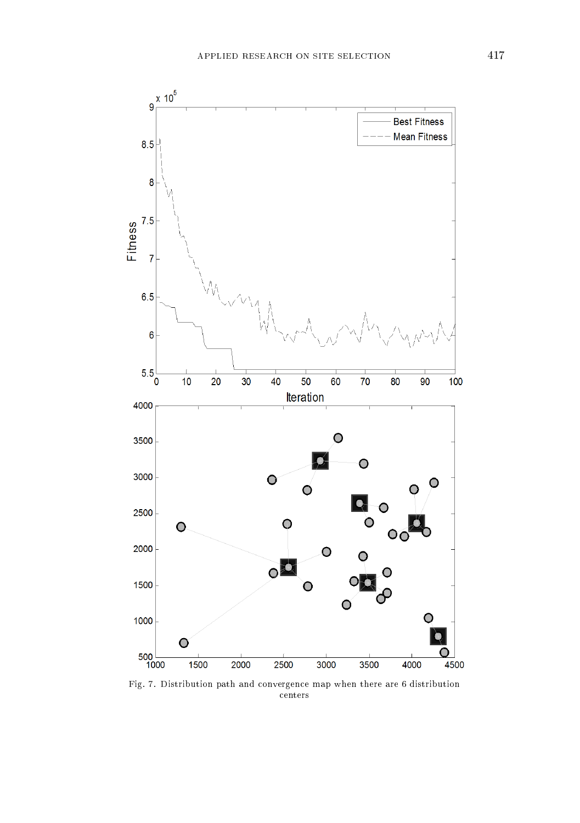

Fig. 7. Distribution path and convergence map when there are 6 distribution centers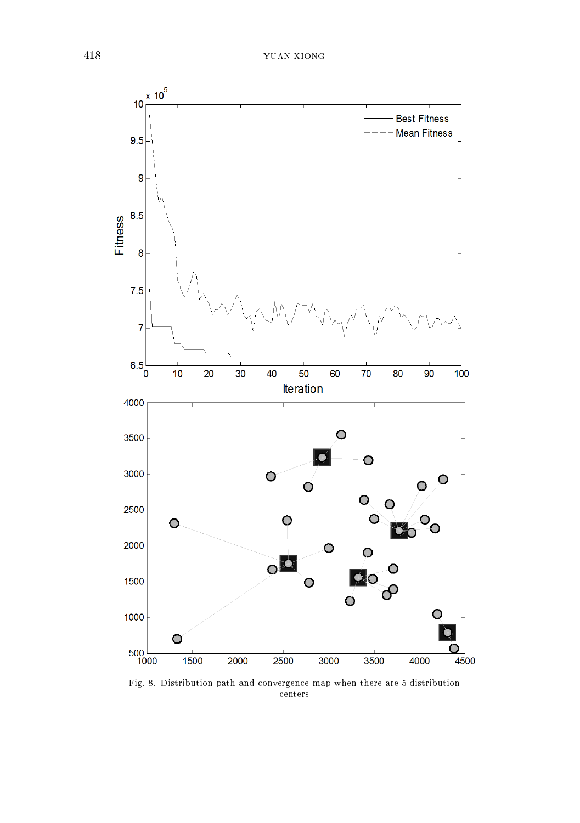

Fig. 8. Distribution path and convergence map when there are 5 distribution centers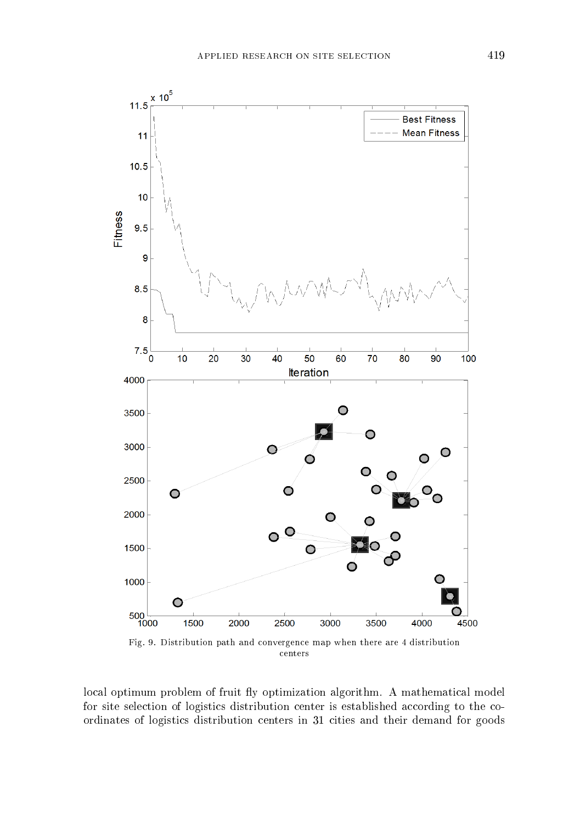

local optimum problem of fruit fly optimization algorithm. A mathematical model for site selection of logistics distribution center is established according to the coordinates of logistics distribution centers in 31 cities and their demand for goods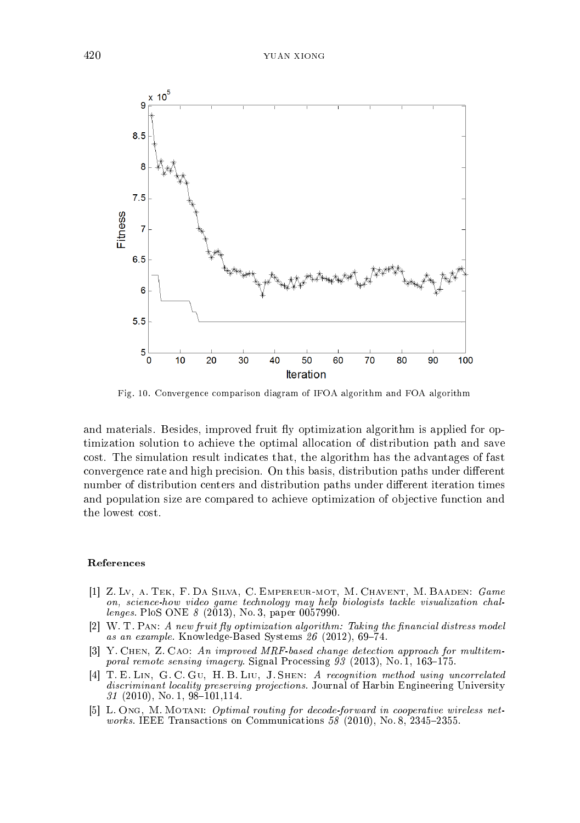

Fig. 10. Convergence comparison diagram of IFOA algorithm and FOA algorithm

and materials. Besides, improved fruit fly optimization algorithm is applied for optimization solution to achieve the optimal allocation of distribution path and save cost. The simulation result indicates that, the algorithm has the advantages of fast convergence rate and high precision. On this basis, distribution paths under different number of distribution centers and distribution paths under different iteration times and population size are compared to achieve optimization of objective function and the lowest cost.

#### References

- [1] Z. Lv, a. Tek, F. Da Silva, C. Empereur-mot, M. Chavent, M. Baaden: Game on, science-how video game technology may help biologists tackle visualization challenges. PloS ONE 8 (2013), No. 3, paper 0057990.
- $[2]$  W. T. PAN: A new fruit fly optimization algorithm: Taking the financial distress model as an example. Knowledge-Based Systems  $26$  (2012), 69-74.
- [3] Y. Chen, Z. Cao: An improved MRF-based change detection approach for multitemporal remote sensing imagery. Signal Processing  $93$  (2013), No. 1, 163-175.
- [4] T. E. Lin, G. C. Gu, H. B. Liu, J. Shen: A recognition method using uncorrelated discriminant locality preserving projections. Journal of Harbin Engineering University  $31$  (2010), No. 1, 98-101,114.
- [5] L. Ong, M. Motani: *Optimal routing for decode-forward in cooperative wireless networks.* IEEE Transactions on Communications  $58$  (2010), No. 8, 2345-2355.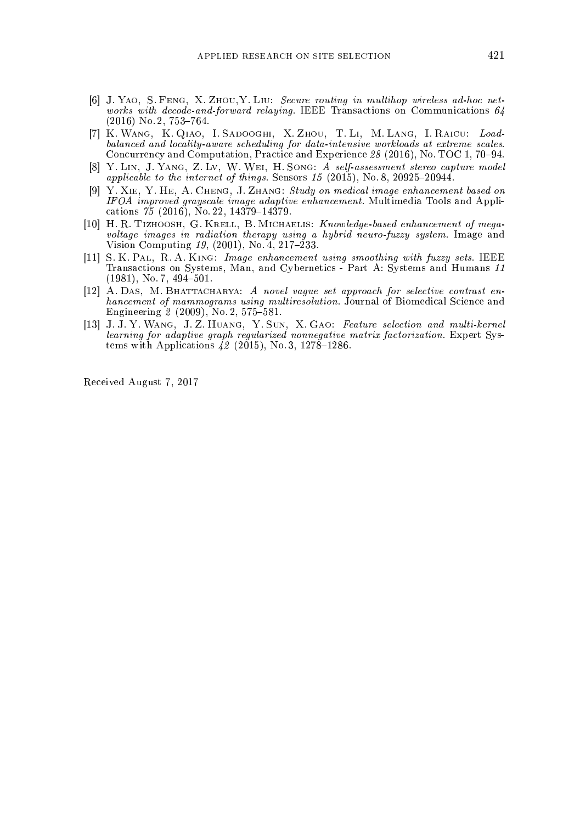- [6] J. Yao, S. Feng, X. Zhou,Y. Liu: Secure routing in multihop wireless ad-hoc networks with decode-and-forward relaying. IEEE Transactions on Communications 64  $(2016)$  No. 2, 753-764.
- [7] K. Wang, K. Qiao, I. Sadooghi, X. Zhou, T. Li, M. Lang, I. Raicu: Loadbalanced and locality-aware scheduling for data-intensive workloads at extreme scales. Concurrency and Computation, Practice and Experience 28 (2016), No. TOC 1, 70-94.
- [8] Y. Lin, J. Yang, Z. Lv, W. Wei, H. Song: A self-assessment stereo capture model applicable to the internet of things. Sensors  $15$  (2015), No. 8, 20925-20944.
- [9] Y. Xie, Y. He, A. Cheng, J. Zhang: Study on medical image enhancement based on IFOA improved grayscale image adaptive enhancement. Multimedia Tools and Applications  $75$  (2016), No. 22, 14379-14379.
- [10] H. R. Tizhoosh, G. Krell, B. Michaelis: Knowledge-based enhancement of megavoltage images in radiation therapy using a hybrid neuro-fuzzy system. Image and Vision Computing  $19$ ,  $(2001)$ , No. 4,  $217-\tilde{2}33$ .
- [11] S. K. PAL, R. A. KING: Image enhancement using smoothing with fuzzy sets. IEEE Transactions on Systems, Man, and Cybernetics - Part A: Systems and Humans 11  $(1981)$ , No. 7,  $494-501$ .
- [12] A. Das, M. Bhattacharya: A novel vague set approach for selective contrast enhancement of mammograms using multiresolution. Journal of Biomedical Science and Engineering  $2(2009)$ , No. 2, 575–581.
- [13] J. J. Y. Wang, J. Z. Huang, Y. Sun, X. Gao: Feature selection and multi-kernel learning for adaptive graph regularized nonnegative matrix factorization. Expert Systems with Applications  $\hat{4}2$  (2015), No. 3, 1278–1286.

Received August 7, 2017